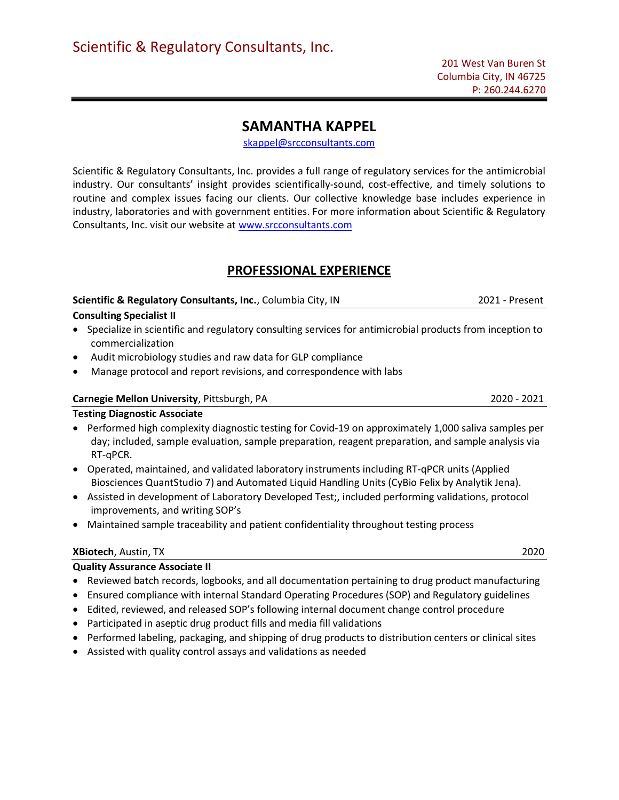# SAMANTHA KAPPEL

skappel@srcconsultants.com

Scientific & Regulatory Consultants, Inc. provides a full range of regulatory services for the antimicrobial industry. Our consultants' insight provides scientifically-sound, cost-effective, and timely solutions to routine and complex issues facing our clients. Our collective knowledge base includes experience in industry, laboratories and with government entities. For more information about Scientific & Regulatory Consultants, Inc. visit our website at www.srcconsultants.com

# PROFESSIONAL EXPERIENCE

Scientific & Regulatory Consultants, Inc., Columbia City, IN 2021 - Present

## Consulting Specialist II

- Specialize in scientific and regulatory consulting services for antimicrobial products from inception to commercialization
- Audit microbiology studies and raw data for GLP compliance
- Manage protocol and report revisions, and correspondence with labs

### Carnegie Mellon University, Pittsburgh, PA 2020 - 2021

### Testing Diagnostic Associate

- Performed high complexity diagnostic testing for Covid-19 on approximately 1,000 saliva samples per day; included, sample evaluation, sample preparation, reagent preparation, and sample analysis via RT-qPCR.
- Operated, maintained, and validated laboratory instruments including RT-qPCR units (Applied Biosciences QuantStudio 7) and Automated Liquid Handling Units (CyBio Felix by Analytik Jena).
- Assisted in development of Laboratory Developed Test;, included performing validations, protocol improvements, and writing SOP's
- Maintained sample traceability and patient confidentiality throughout testing process

### XBiotech, Austin, TX 2020

## Quality Assurance Associate II

- Reviewed batch records, logbooks, and all documentation pertaining to drug product manufacturing
- Ensured compliance with internal Standard Operating Procedures (SOP) and Regulatory guidelines
- Edited, reviewed, and released SOP's following internal document change control procedure
- Participated in aseptic drug product fills and media fill validations
- Performed labeling, packaging, and shipping of drug products to distribution centers or clinical sites
- Assisted with quality control assays and validations as needed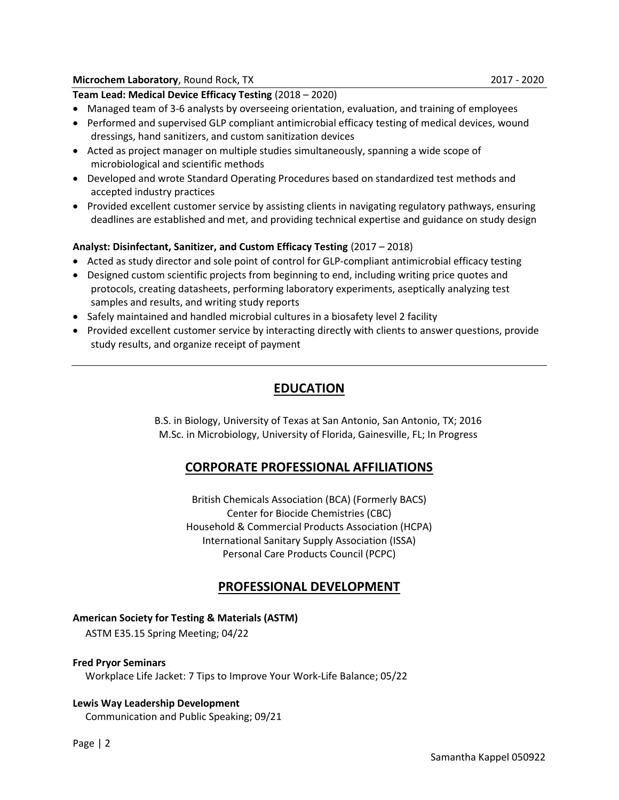### Microchem Laboratory, Round Rock, TX 2017 - 2020

Team Lead: Medical Device Efficacy Testing (2018 – 2020)

- Managed team of 3-6 analysts by overseeing orientation, evaluation, and training of employees
- Performed and supervised GLP compliant antimicrobial efficacy testing of medical devices, wound dressings, hand sanitizers, and custom sanitization devices
- Acted as project manager on multiple studies simultaneously, spanning a wide scope of microbiological and scientific methods
- Developed and wrote Standard Operating Procedures based on standardized test methods and accepted industry practices
- Provided excellent customer service by assisting clients in navigating regulatory pathways, ensuring deadlines are established and met, and providing technical expertise and guidance on study design

## Analyst: Disinfectant, Sanitizer, and Custom Efficacy Testing (2017 – 2018)

- Acted as study director and sole point of control for GLP-compliant antimicrobial efficacy testing
- Designed custom scientific projects from beginning to end, including writing price quotes and protocols, creating datasheets, performing laboratory experiments, aseptically analyzing test samples and results, and writing study reports
- Safely maintained and handled microbial cultures in a biosafety level 2 facility
- Provided excellent customer service by interacting directly with clients to answer questions, provide study results, and organize receipt of payment

# EDUCATION

B.S. in Biology, University of Texas at San Antonio, San Antonio, TX; 2016 M.Sc. in Microbiology, University of Florida, Gainesville, FL; In Progress

## CORPORATE PROFESSIONAL AFFILIATIONS

British Chemicals Association (BCA) (Formerly BACS) Center for Biocide Chemistries (CBC) Household & Commercial Products Association (HCPA) International Sanitary Supply Association (ISSA) Personal Care Products Council (PCPC)

## PROFESSIONAL DEVELOPMENT

### American Society for Testing & Materials (ASTM)

ASTM E35.15 Spring Meeting; 04/22

### Fred Pryor Seminars

Workplace Life Jacket: 7 Tips to Improve Your Work-Life Balance; 05/22

### Lewis Way Leadership Development

Communication and Public Speaking; 09/21

Page | 2